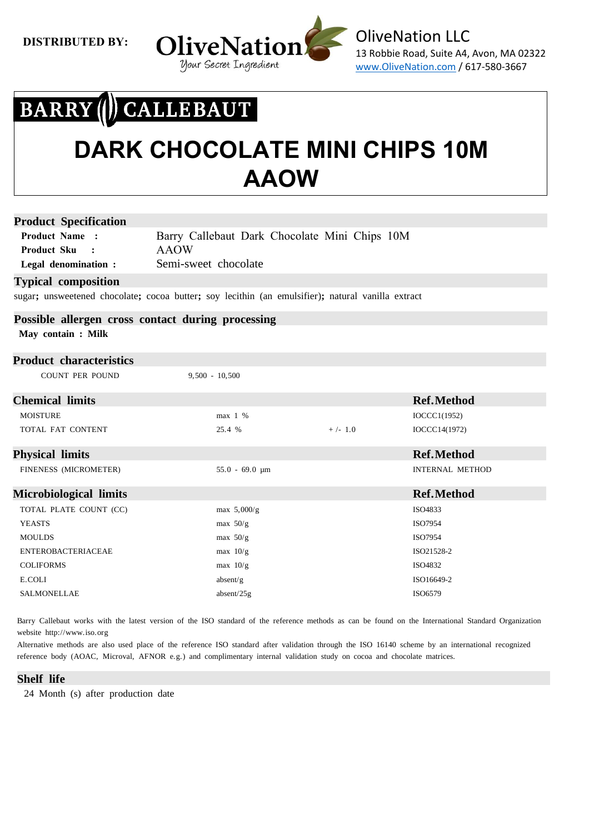

### BARRY (I) CALLEBAUT

### **DARK CHOCOLATE MINI CHIPS 10M AAOW**

#### **Product Specification**

**Product Name : Product Sku : Legal denomination :** Barry Callebaut Dark Chocolate Mini Chips 10M AAOW Semi-sweet chocolate

#### **Typical composition**

sugar**;** unsweetened chocolate**;** cocoa butter**;** soy lecithin (an emulsifier)**;** natural vanilla extract

### **Possible allergen cross contact during processing**

 **May contain : Milk**

#### **Product characteristics**

COUNT PER POUND 9,500 - 10,500

| <b>Chemical limits</b>        |                     |           | <b>Ref.Method</b>      |
|-------------------------------|---------------------|-----------|------------------------|
| <b>MOISTURE</b>               | $max$ 1 %           |           | IOCCC1(1952)           |
| TOTAL FAT CONTENT             | 25.4 %              | $+/- 1.0$ | IOCCC14(1972)          |
| <b>Physical limits</b>        |                     |           | <b>Ref.Method</b>      |
| FINENESS (MICROMETER)         | $55.0 - 69.0 \mu m$ |           | <b>INTERNAL METHOD</b> |
| <b>Microbiological limits</b> |                     |           | <b>Ref.Method</b>      |
| TOTAL PLATE COUNT (CC)        | max $5,000/g$       |           | ISO4833                |
| <b>YEASTS</b>                 | max $50/g$          |           | ISO7954                |
| <b>MOULDS</b>                 | max $50/g$          |           | ISO7954                |
| <b>ENTEROBACTERIACEAE</b>     | $max$ 10/g          |           | ISO21528-2             |
| <b>COLIFORMS</b>              | $max$ 10/g          |           | ISO4832                |
| E.COLI                        | absent/g            |           | ISO16649-2             |
| <b>SALMONELLAE</b>            | absent/ $25g$       |           | ISO6579                |
|                               |                     |           |                        |

Barry Callebaut works with the latest version of the ISO standard of the reference methods as can be found on the International Standard Organization website http://www.iso.org

Alternative methods are also used place of the reference ISO standard after validation through the ISO 16140 scheme by an international recognized reference body (AOAC, Microval, AFNOR e.g.) and complimentary internal validation study on cocoa and chocolate matrices.

#### **Shelf life**

24 Month (s) after production date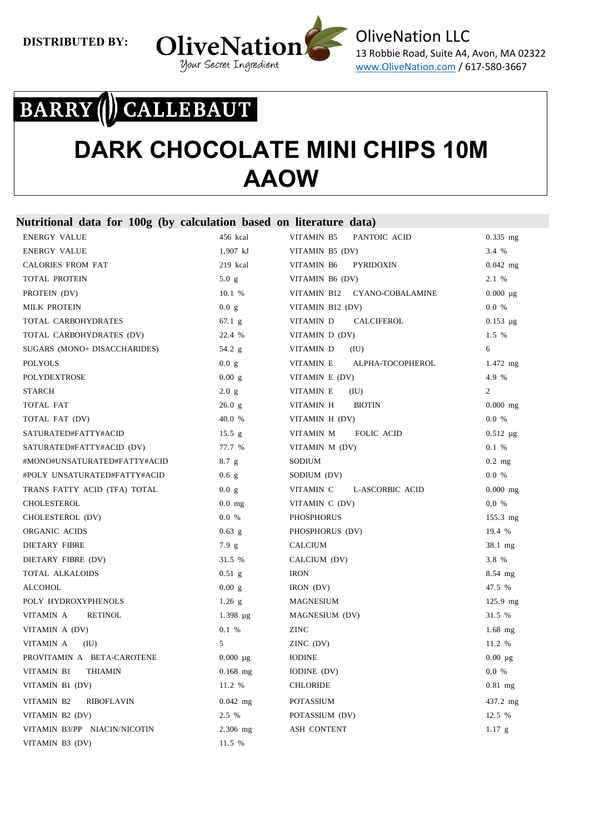

# BARRY ( CALLEBAUT

### **DARK CHOCOLATE MINI CHIPS 10M AAOW**

#### **Nutritional data for 100g (by calculation based on literature data)**

| <b>ENERGY VALUE</b>             | 456 kcal        | VITAMIN B5<br>PANTOIC ACID     | $0.335$ mg     |
|---------------------------------|-----------------|--------------------------------|----------------|
| <b>ENERGY VALUE</b>             | 1,907 kJ        | VITAMIN B5 (DV)                | 3.4 %          |
| <b>CALORIES FROM FAT</b>        | 219 kcal        | VITAMIN B6<br><b>PYRIDOXIN</b> | $0.042$ mg     |
| <b>TOTAL PROTEIN</b>            | 5.0 g           | VITAMIN B6 (DV)                | 2.1 %          |
| PROTEIN (DV)                    | 10.1 %          | VITAMIN B12 CYANO-COBALAMINE   | $0.000 \mu g$  |
| <b>MILK PROTEIN</b>             | 0.0 g           | VITAMIN B12 (DV)               | 0.0 %          |
| TOTAL CARBOHYDRATES             | $67.1\text{ g}$ | VITAMIN D<br>CALCIFEROL        | $0.153 \mu g$  |
| TOTAL CARBOHYDRATES (DV)        | 22.4 %          | VITAMIN D (DV)                 | 1.5 %          |
| SUGARS (MONO+ DISACCHARIDES)    | 54.2 $g$        | VITAMIN D<br>(IU)              | 6              |
| <b>POLYOLS</b>                  | 0.0 g           | VITAMIN E<br>ALPHA-TOCOPHEROL  | $1.472$ mg     |
| <b>POLYDEXTROSE</b>             | 0.00 g          | VITAMIN E (DV)                 | 4.9 %          |
| <b>STARCH</b>                   | 2.0 g           | VITAMIN E<br>(IU)              | $\overline{2}$ |
| TOTAL FAT                       | 26.0 g          | VITAMIN H<br><b>BIOTIN</b>     | $0.000$ mg     |
| TOTAL FAT (DV)                  | 40.0 %          | VITAMIN H (DV)                 | 0.0 %          |
| SATURATED#FATTY#ACID            | 15.5 g          | VITAMIN M<br>FOLIC ACID        | $0.512 \mu g$  |
| SATURATED#FATTY#ACID (DV)       | 77.7 %          | VITAMIN M (DV)                 | 0.1 %          |
| #MONO#UNSATURATED#FATTY#ACID    | 8.7 g           | SODIUM                         | $0.2$ mg       |
| #POLY UNSATURATED#FATTY#ACID    | $0.6\text{ g}$  | SODIUM (DV)                    | 0.0 %          |
| TRANS FATTY ACID (TFA) TOTAL    | 0.0 g           | VITAMIN C<br>L-ASCORBIC ACID   | $0.000$ mg     |
| CHOLESTEROL                     | $0.0$ mg        | VITAMIN C (DV)                 | 0.0 %          |
| CHOLESTEROL (DV)                | 0.0 %           | <b>PHOSPHORUS</b>              | $155.3$ mg     |
| ORGANIC ACIDS                   | $0.63$ g        | PHOSPHORUS (DV)                | 19.4 %         |
| <b>DIETARY FIBRE</b>            | 7.9 g           | <b>CALCIUM</b>                 | 38.1 mg        |
| DIETARY FIBRE (DV)              | 31.5 %          | CALCIUM (DV)                   | 3.8 %          |
| TOTAL ALKALOIDS                 | $0.51$ g        | <b>IRON</b>                    | 8.54 mg        |
| <b>ALCOHOL</b>                  | 0.00 g          | IRON (DV)                      | 47.5 %         |
| POLY HYDROXYPHENOLS             | $1.26$ g        | <b>MAGNESIUM</b>               | $125.9$ mg     |
| VITAMIN A<br><b>RETINOL</b>     | $1.398 \mu g$   | MAGNESIUM (DV)                 | 31.5 %         |
| VITAMIN A (DV)                  | 0.1 %           | ZINC                           | $1.68$ mg      |
| VITAMIN A<br>(IU)               | 5               | ZINC (DV)                      | 11.2 %         |
| PROVITAMIN A BETA-CAROTENE      | $0.000 \mu g$   | <b>IODINE</b>                  | $0.00 \mu$ g   |
| VITAMIN B1<br><b>THIAMIN</b>    | $0.168$ mg      | IODINE (DV)                    | 0.0 %          |
| VITAMIN B1 (DV)                 | 11.2 %          | <b>CHLORIDE</b>                | $0.81$ mg      |
| VITAMIN B2<br><b>RIBOFLAVIN</b> | $0.042$ mg      | <b>POTASSIUM</b>               | 437.2 mg       |
| VITAMIN B2 (DV)                 | 2.5 %           | POTASSIUM (DV)                 | 12.5 %         |
| VITAMIN B3/PP NIACIN/NICOTIN    | $2.306$ mg      | <b>ASH CONTENT</b>             | 1.17 g         |
| VITAMIN B3 (DV)                 | 11.5 %          |                                |                |